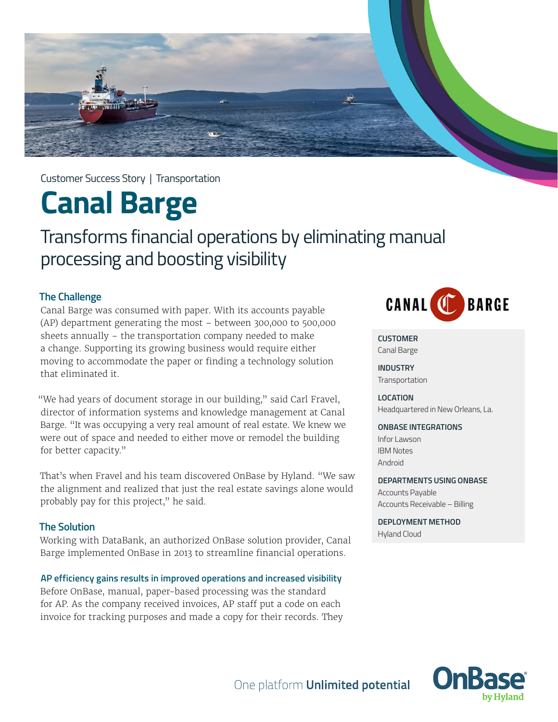

Customer Success Story | Transportation

# **Canal Barge**

# Transforms financial operations by eliminating manual processing and boosting visibility

#### **The Challenge**

Canal Barge was consumed with paper. With its accounts payable (AP) department generating the most – between 300,000 to 500,000 sheets annually – the transportation company needed to make a change. Supporting its growing business would require either moving to accommodate the paper or finding a technology solution that eliminated it.

"We had years of document storage in our building," said Carl Fravel, director of information systems and knowledge management at Canal Barge. "It was occupying a very real amount of real estate. We knew we were out of space and needed to either move or remodel the building for better capacity."

That's when Fravel and his team discovered OnBase by Hyland. "We saw the alignment and realized that just the real estate savings alone would probably pay for this project," he said.

#### **The Solution**

Working with DataBank, an authorized OnBase solution provider, Canal Barge implemented OnBase in 2013 to streamline financial operations.

#### **AP efficiency gains results in improved operations and increased visibility**

Before OnBase, manual, paper-based processing was the standard for AP. As the company received invoices, AP staff put a code on each invoice for tracking purposes and made a copy for their records. They



**CUSTOMER** Canal Barge

**INDUSTRY Transportation** 

# **LOCATION**

Headquartered in New Orleans, La.

#### **ONBASE INTEGRATIONS**

Infor Lawson IBM Notes Android

#### **DEPARTMENTS USING ONBASE**

Accounts Payable Accounts Receivable – Billing

### **DEPLOYMENT METHOD**

Hyland Cloud

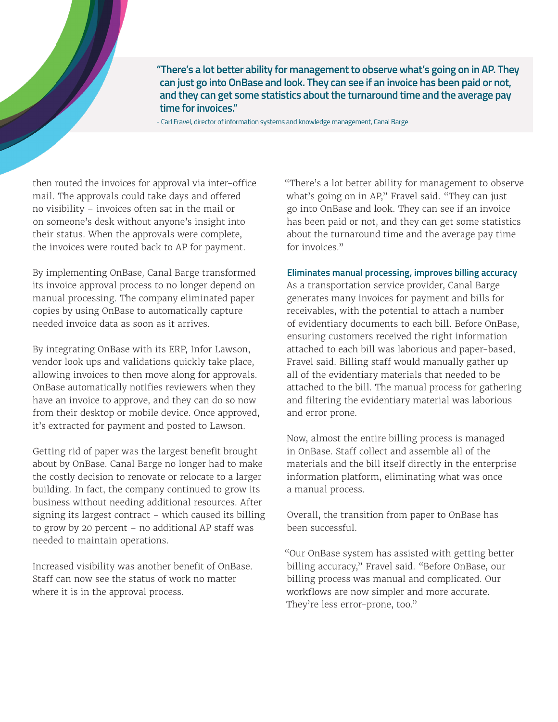**"There's a lot better ability for management to observe what's going on in AP. They can just go into OnBase and look. They can see if an invoice has been paid or not, and they can get some statistics about the turnaround time and the average pay time for invoices."**

- Carl Fravel, director of information systems and knowledge management, Canal Barge

then routed the invoices for approval via inter-office mail. The approvals could take days and offered no visibility – invoices often sat in the mail or on someone's desk without anyone's insight into their status. When the approvals were complete, the invoices were routed back to AP for payment.

By implementing OnBase, Canal Barge transformed its invoice approval process to no longer depend on manual processing. The company eliminated paper copies by using OnBase to automatically capture needed invoice data as soon as it arrives.

By integrating OnBase with its ERP, Infor Lawson, vendor look ups and validations quickly take place, allowing invoices to then move along for approvals. OnBase automatically notifies reviewers when they have an invoice to approve, and they can do so now from their desktop or mobile device. Once approved, it's extracted for payment and posted to Lawson.

Getting rid of paper was the largest benefit brought about by OnBase. Canal Barge no longer had to make the costly decision to renovate or relocate to a larger building. In fact, the company continued to grow its business without needing additional resources. After signing its largest contract – which caused its billing to grow by 20 percent – no additional AP staff was needed to maintain operations.

Increased visibility was another benefit of OnBase. Staff can now see the status of work no matter where it is in the approval process.

"There's a lot better ability for management to observe what's going on in AP," Fravel said. "They can just go into OnBase and look. They can see if an invoice has been paid or not, and they can get some statistics about the turnaround time and the average pay time for invoices."

#### **Eliminates manual processing, improves billing accuracy**

As a transportation service provider, Canal Barge generates many invoices for payment and bills for receivables, with the potential to attach a number of evidentiary documents to each bill. Before OnBase, ensuring customers received the right information attached to each bill was laborious and paper-based, Fravel said. Billing staff would manually gather up all of the evidentiary materials that needed to be attached to the bill. The manual process for gathering and filtering the evidentiary material was laborious and error prone.

Now, almost the entire billing process is managed in OnBase. Staff collect and assemble all of the materials and the bill itself directly in the enterprise information platform, eliminating what was once a manual process.

Overall, the transition from paper to OnBase has been successful.

"Our OnBase system has assisted with getting better billing accuracy," Fravel said. "Before OnBase, our billing process was manual and complicated. Our workflows are now simpler and more accurate. They're less error-prone, too."